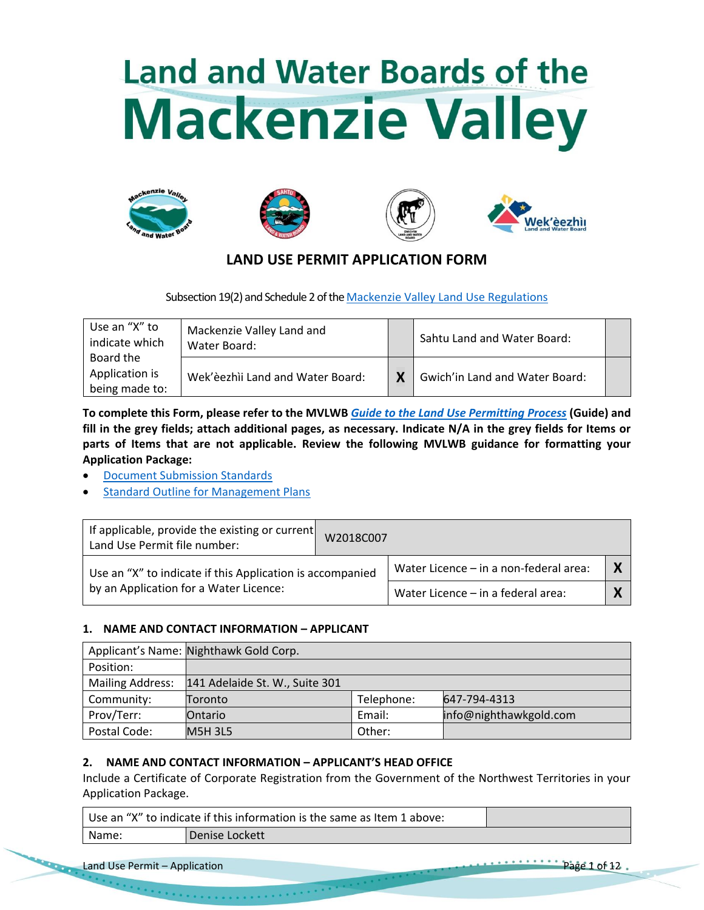# **Land and Water Boards of the Mackenzie Valley**









# **LAND USE PERMIT APPLICATION FORM**

Subsection 19(2) and Schedule 2 of th[e Mackenzie Valley Land Use Regulations](http://laws-lois.justice.gc.ca/PDF/SOR-98-429.pdf)

| Use an "X" to<br>Mackenzie Valley Land and<br>indicate which<br>Water Board: | Sahtu Land and Water Board:      |                                |  |
|------------------------------------------------------------------------------|----------------------------------|--------------------------------|--|
| Board the<br>Application is<br>being made to:                                | Wek'èezhìi Land and Water Board: | Gwich'in Land and Water Board: |  |

**To complete this Form, please refer to the MVLWB** *[Guide to the Land Use Permitting Process](https://mvlwb.com/sites/default/files/2020-09/lwb_guide_to_the_land_use_permitting_process_-_final_-_sep_16_20.pdf)* **(Guide) and fill in the grey fields; attach additional pages, as necessary. Indicate N/A in the grey fields for Items or parts of Items that are not applicable. Review the following MVLWB guidance for formatting your Application Package:**

- [Document Submission Standards](https://wlwb.ca/sites/default/files/mvlwb_document_submission_standards_-_jan_2019.pdf)
- [Standard Outline for Management Plans](https://mvlwb.com/sites/default/files/documents/MVLWB-Guidelines-for-Developing-a-Waste-Management-Plan-Mar-31_11-JCWG.pdf)

| If applicable, provide the existing or current<br>Land Use Permit file number:                      | W2018C007 |                                        |  |
|-----------------------------------------------------------------------------------------------------|-----------|----------------------------------------|--|
| Use an "X" to indicate if this Application is accompanied<br>by an Application for a Water Licence: |           | Water Licence – in a non-federal area: |  |
|                                                                                                     |           | Water Licence – in a federal area:     |  |

# **1. NAME AND CONTACT INFORMATION – APPLICANT**

|                         | Applicant's Name: Nighthawk Gold Corp. |            |                        |
|-------------------------|----------------------------------------|------------|------------------------|
| Position:               |                                        |            |                        |
| <b>Mailing Address:</b> | 141 Adelaide St. W., Suite 301         |            |                        |
| Community:              | Toronto                                | Telephone: | 647-794-4313           |
| Prov/Terr:              | Ontario                                | Email:     | info@nighthawkgold.com |
| Postal Code:            | M5H 3L5                                | Other:     |                        |

# **2. NAME AND CONTACT INFORMATION – APPLICANT'S HEAD OFFICE**

Include a Certificate of Corporate Registration from the Government of the Northwest Territories in your Application Package.

| Use an "X" to indicate if this information is the same as Item 1 above: |                   |  |
|-------------------------------------------------------------------------|-------------------|--|
| Name:                                                                   | i Denise Lockett. |  |

Land Use Permit – Application Page 1 of 12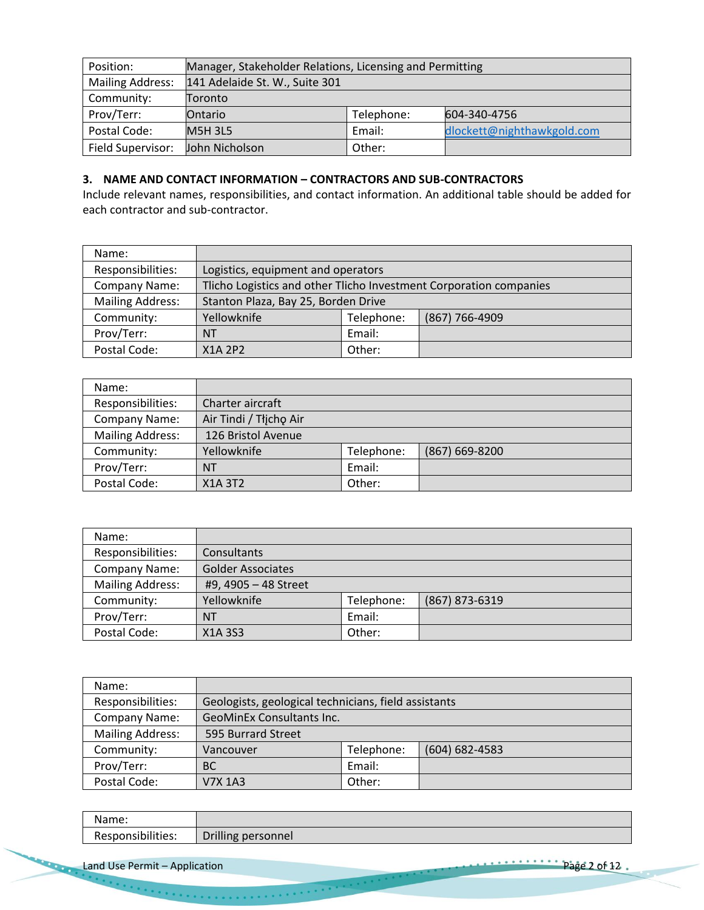| Position:               | Manager, Stakeholder Relations, Licensing and Permitting |            |                            |
|-------------------------|----------------------------------------------------------|------------|----------------------------|
| <b>Mailing Address:</b> | 141 Adelaide St. W., Suite 301                           |            |                            |
| Community:              | Toronto                                                  |            |                            |
| Prov/Terr:              | Ontario                                                  | Telephone: | 604-340-4756               |
| Postal Code:            | M5H 3L5                                                  | Email:     | dlockett@nighthawkgold.com |
| Field Supervisor:       | John Nicholson                                           | Other:     |                            |

#### **3. NAME AND CONTACT INFORMATION – CONTRACTORS AND SUB-CONTRACTORS**

Include relevant names, responsibilities, and contact information. An additional table should be added for each contractor and sub-contractor.

| Name:                   |                                                                    |            |                |
|-------------------------|--------------------------------------------------------------------|------------|----------------|
| Responsibilities:       | Logistics, equipment and operators                                 |            |                |
| <b>Company Name:</b>    | Tlicho Logistics and other Tlicho Investment Corporation companies |            |                |
| <b>Mailing Address:</b> | Stanton Plaza, Bay 25, Borden Drive                                |            |                |
| Community:              | Yellowknife                                                        | Telephone: | (867) 766-4909 |
| Prov/Terr:              | ΝT                                                                 | Email:     |                |
| Postal Code:            | X1A 2P2                                                            | Other:     |                |

| Name:                   |                        |            |                    |
|-------------------------|------------------------|------------|--------------------|
| Responsibilities:       | Charter aircraft       |            |                    |
| Company Name:           | Air Tindi / Tłjcho Air |            |                    |
| <b>Mailing Address:</b> | 126 Bristol Avenue     |            |                    |
| Community:              | Yellowknife            | Telephone: | $(867) 669 - 8200$ |
| Prov/Terr:              | <b>NT</b>              | Email:     |                    |
| Postal Code:            | X1A 3T2                | Other:     |                    |

| Name:                   |                      |            |                |
|-------------------------|----------------------|------------|----------------|
| Responsibilities:       | Consultants          |            |                |
| <b>Company Name:</b>    | Golder Associates    |            |                |
| <b>Mailing Address:</b> | #9, 4905 - 48 Street |            |                |
| Community:              | Yellowknife          | Telephone: | (867) 873-6319 |
| Prov/Terr:              | NT                   | Email:     |                |
| Postal Code:            | X1A 3S3              | Other:     |                |

| Name:                   |                                                      |            |                |
|-------------------------|------------------------------------------------------|------------|----------------|
| Responsibilities:       | Geologists, geological technicians, field assistants |            |                |
| <b>Company Name:</b>    | <b>GeoMinEx Consultants Inc.</b>                     |            |                |
| <b>Mailing Address:</b> | 595 Burrard Street                                   |            |                |
| Community:              | Vancouver                                            | Telephone: | (604) 682-4583 |
| Prov/Terr:              | <b>BC</b>                                            | Email:     |                |
| Postal Code:            | V7X 1A3                                              | Other:     |                |

| Name:             |                    |
|-------------------|--------------------|
| Responsibilities: | Drilling personnel |

Land Use Permit – Application Page 2 of 12.

**RODOM**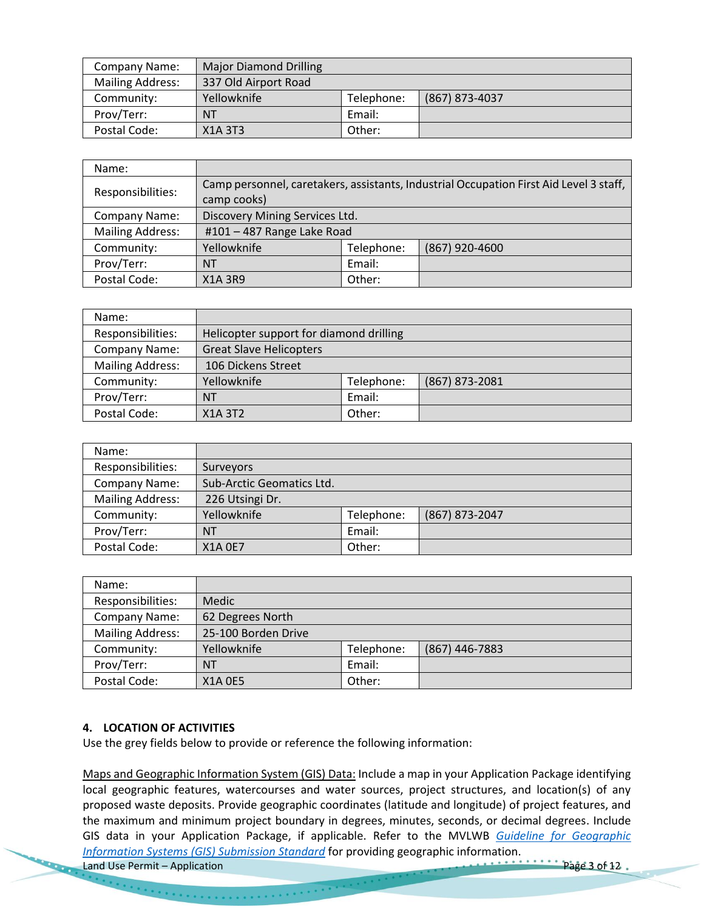| Company Name:           | <b>Major Diamond Drilling</b> |            |                |
|-------------------------|-------------------------------|------------|----------------|
| <b>Mailing Address:</b> | 337 Old Airport Road          |            |                |
| Community:              | Yellowknife                   | Telephone: | (867) 873-4037 |
| Prov/Terr:              | <b>NT</b>                     | Email:     |                |
| Postal Code:            | X1A 3T3                       | Other:     |                |

| Name:                   |                                |            |                                                                                        |
|-------------------------|--------------------------------|------------|----------------------------------------------------------------------------------------|
|                         |                                |            | Camp personnel, caretakers, assistants, Industrial Occupation First Aid Level 3 staff, |
| Responsibilities:       | camp cooks)                    |            |                                                                                        |
| Company Name:           | Discovery Mining Services Ltd. |            |                                                                                        |
| <b>Mailing Address:</b> | #101 - 487 Range Lake Road     |            |                                                                                        |
| Community:              | Yellowknife                    | Telephone: | (867) 920-4600                                                                         |
| Prov/Terr:              | NT                             | Email:     |                                                                                        |
| Postal Code:            | <b>X1A 3R9</b>                 | Other:     |                                                                                        |

| Name:                   |                                         |            |                |  |  |
|-------------------------|-----------------------------------------|------------|----------------|--|--|
| Responsibilities:       | Helicopter support for diamond drilling |            |                |  |  |
| <b>Company Name:</b>    | <b>Great Slave Helicopters</b>          |            |                |  |  |
| <b>Mailing Address:</b> | 106 Dickens Street                      |            |                |  |  |
| Community:              | Yellowknife                             | Telephone: | (867) 873-2081 |  |  |
| Prov/Terr:              | ΝT                                      | Email:     |                |  |  |
| Postal Code:            | X1A 3T2                                 | Other:     |                |  |  |

| Name:                   |                           |            |                |  |  |
|-------------------------|---------------------------|------------|----------------|--|--|
| Responsibilities:       | Surveyors                 |            |                |  |  |
| Company Name:           | Sub-Arctic Geomatics Ltd. |            |                |  |  |
| <b>Mailing Address:</b> | 226 Utsingi Dr.           |            |                |  |  |
| Community:              | Yellowknife               | Telephone: | (867) 873-2047 |  |  |
| Prov/Terr:              | <b>NT</b>                 | Email:     |                |  |  |
| Postal Code:            | <b>X1A 0E7</b>            | Other:     |                |  |  |

| Name:                   |                     |            |                  |  |  |
|-------------------------|---------------------|------------|------------------|--|--|
| Responsibilities:       | Medic               |            |                  |  |  |
| <b>Company Name:</b>    | 62 Degrees North    |            |                  |  |  |
| <b>Mailing Address:</b> | 25-100 Borden Drive |            |                  |  |  |
| Community:              | Yellowknife         | Telephone: | $(867)$ 446-7883 |  |  |
| Prov/Terr:              | ΝT                  | Email:     |                  |  |  |
| Postal Code:            | <b>X1A 0E5</b>      | Other:     |                  |  |  |

# **4. LOCATION OF ACTIVITIES**

Use the grey fields below to provide or reference the following information:

Land Use Permit – Application **Page 3 of 12** Maps and Geographic Information System (GIS) Data: Include a map in your Application Package identifying local geographic features, watercourses and water sources, project structures, and location(s) of any proposed waste deposits. Provide geographic coordinates (latitude and longitude) of project features, and the maximum and minimum project boundary in degrees, minutes, seconds, or decimal degrees. Include GIS data in your Application Package, if applicable. Refer to the MVLWB *[Guideline for Geographic](https://www.enr.gov.nt.ca/sites/enr/files/guidelines_for_spill_contingency_planning_2007.pdf)  [Information Systems \(GIS\) Submission Standard](https://www.enr.gov.nt.ca/sites/enr/files/guidelines_for_spill_contingency_planning_2007.pdf)* for providing geographic information.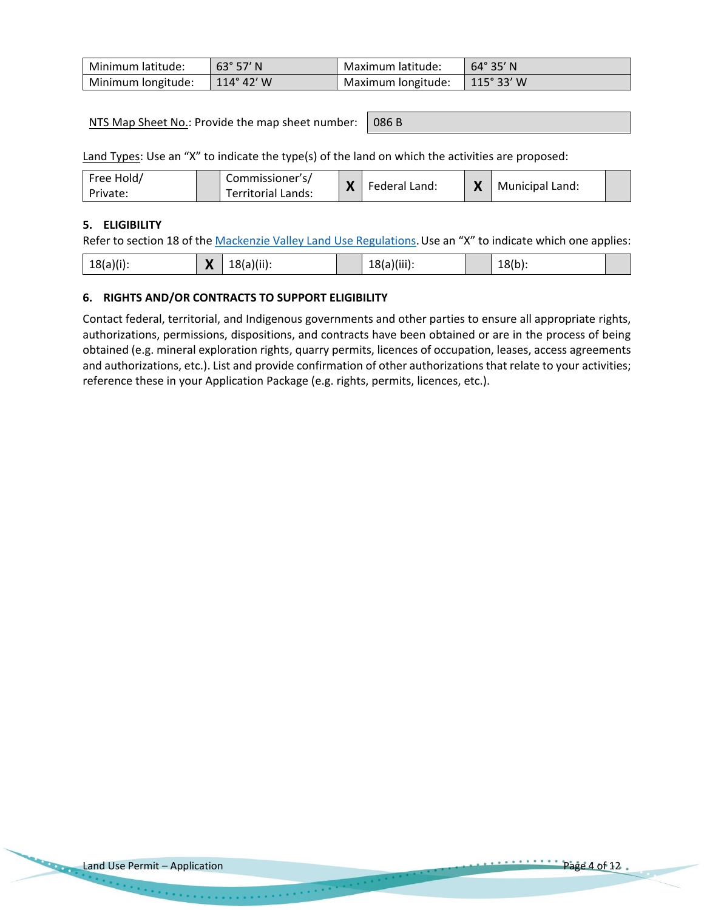| Minimum latitude:  | $63^{\circ}$ 57' N  | Maximum latitude:  | $64^\circ$ 35 $^\prime$ N |
|--------------------|---------------------|--------------------|---------------------------|
| Minimum longitude: | $114^{\circ}$ 42' W | Maximum longitude: | $115^\circ 33'$ W         |

NTS Map Sheet No.: Provide the map sheet number: 086 B

Land Types: Use an "X" to indicate the type(s) of the land on which the activities are proposed:

|  | Free Hold/<br>Private: | Commissioner's/<br>Territorial Lands: | $\mathbf{v}$<br>Federal Land:<br>Λ |  | Municipal Land: |  |
|--|------------------------|---------------------------------------|------------------------------------|--|-----------------|--|
|--|------------------------|---------------------------------------|------------------------------------|--|-----------------|--|

# **5. ELIGIBILITY**

Refer to section 18 of the [Mackenzie Valley Land Use Regulations.](https://mvlwb.com/content/staff-directory-0) Use an "X" to indicate which one applies:

| $18(a)(i)$ :<br>18(a)(ii).<br>18(a)(iii):<br>$18(b)$ :<br>Λ<br>-- |
|-------------------------------------------------------------------|
|-------------------------------------------------------------------|

# **6. RIGHTS AND/OR CONTRACTS TO SUPPORT ELIGIBILITY**

Contact federal, territorial, and Indigenous governments and other parties to ensure all appropriate rights, authorizations, permissions, dispositions, and contracts have been obtained or are in the process of being obtained (e.g. mineral exploration rights, quarry permits, licences of occupation, leases, access agreements and authorizations, etc.). List and provide confirmation of other authorizations that relate to your activities; reference these in your Application Package (e.g. rights, permits, licences, etc.).

 $\mathcal{O}(\mathcal{O}(\log n))$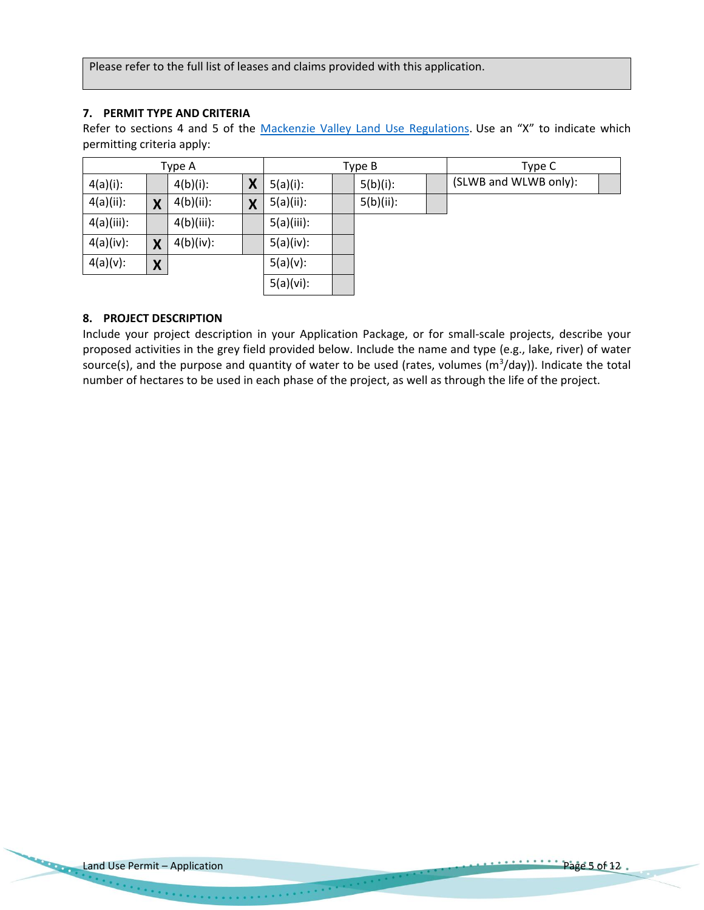Please refer to the full list of leases and claims provided with this application.

# **7. PERMIT TYPE AND CRITERIA**

Refer to sections 4 and 5 of the [Mackenzie Valley Land Use Regulations.](http://laws-lois.justice.gc.ca/PDF/SOR-98-429.pdf) Use an "X" to indicate which permitting criteria apply:

|              |   | Type A       |   |              | Type B       | Type C                |
|--------------|---|--------------|---|--------------|--------------|-----------------------|
| $4(a)(i)$ :  |   | $4(b)(i)$ :  | X | $5(a)(i)$ :  | $5(b)(i)$ :  | (SLWB and WLWB only): |
| $4(a)(ii)$ : | X | $4(b)(ii)$ : | X | $5(a)(ii)$ : | $5(b)(ii)$ : |                       |
| 4(a)(iii):   |   | 4(b)(iii):   |   | 5(a)(iii):   |              |                       |
| 4(a)(iv):    | X | $4(b)(iv)$ : |   | 5(a)(iv):    |              |                       |
| $4(a)(v)$ :  | X |              |   | $5(a)(v)$ :  |              |                       |
|              |   |              |   | 5(a)(vi):    |              |                       |

# **8. PROJECT DESCRIPTION**

Include your project description in your Application Package, or for small-scale projects, describe your proposed activities in the grey field provided below. Include the name and type (e.g., lake, river) of water source(s), and the purpose and quantity of water to be used (rates, volumes (m<sup>3</sup>/day)). Indicate the total number of hectares to be used in each phase of the project, as well as through the life of the project.

 $\mathcal{L}_{\mathcal{A}}$  , and a substitution of the set of the set of the set of the set of the set of the set of the set of the set of the set of the set of the set of the set of the set of the set of the set of the set of the se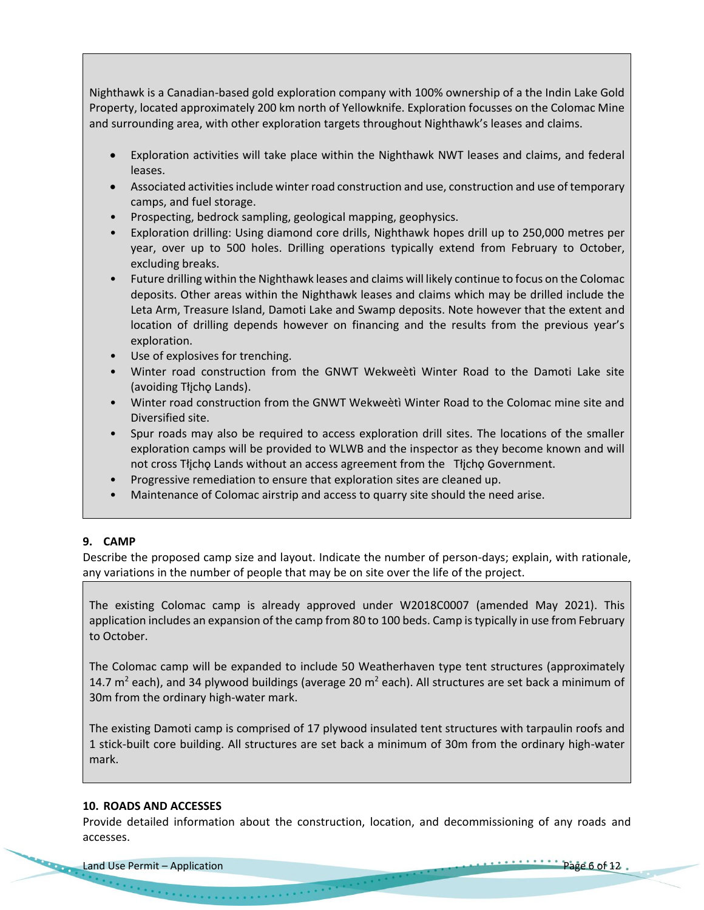Nighthawk is a Canadian-based gold exploration company with 100% ownership of a the Indin Lake Gold Property, located approximately 200 km north of Yellowknife. Exploration focusses on the Colomac Mine and surrounding area, with other exploration targets throughout Nighthawk's leases and claims.

- Exploration activities will take place within the Nighthawk NWT leases and claims, and federal leases.
- Associated activities include winter road construction and use, construction and use of temporary camps, and fuel storage.
- Prospecting, bedrock sampling, geological mapping, geophysics.
- Exploration drilling: Using diamond core drills, Nighthawk hopes drill up to 250,000 metres per year, over up to 500 holes. Drilling operations typically extend from February to October, excluding breaks.
- Future drilling within the Nighthawk leases and claims will likely continue to focus on the Colomac deposits. Other areas within the Nighthawk leases and claims which may be drilled include the Leta Arm, Treasure Island, Damoti Lake and Swamp deposits. Note however that the extent and location of drilling depends however on financing and the results from the previous year's exploration.
- Use of explosives for trenching.
- Winter road construction from the GNWT Wekweètì Winter Road to the Damoti Lake site (avoiding Tłįchǫ Lands).
- Winter road construction from the GNWT Wekweètì Winter Road to the Colomac mine site and Diversified site.
- Spur roads may also be required to access exploration drill sites. The locations of the smaller exploration camps will be provided to WLWB and the inspector as they become known and will not cross Tłjcho Lands without an access agreement from the Tłjcho Government.
- Progressive remediation to ensure that exploration sites are cleaned up.
- Maintenance of Colomac airstrip and access to quarry site should the need arise.

# **9. CAMP**

Describe the proposed camp size and layout. Indicate the number of person-days; explain, with rationale, any variations in the number of people that may be on site over the life of the project.

The existing Colomac camp is already approved under W2018C0007 (amended May 2021). This application includes an expansion of the camp from 80 to 100 beds. Camp is typically in use from February to October.

The Colomac camp will be expanded to include 50 Weatherhaven type tent structures (approximately 14.7  $m^2$  each), and 34 plywood buildings (average 20  $m^2$  each). All structures are set back a minimum of 30m from the ordinary high-water mark.

The existing Damoti camp is comprised of 17 plywood insulated tent structures with tarpaulin roofs and 1 stick-built core building. All structures are set back a minimum of 30m from the ordinary high-water mark.

#### **10. ROADS AND ACCESSES**

Provide detailed information about the construction, location, and decommissioning of any roads and accesses.

**Representative**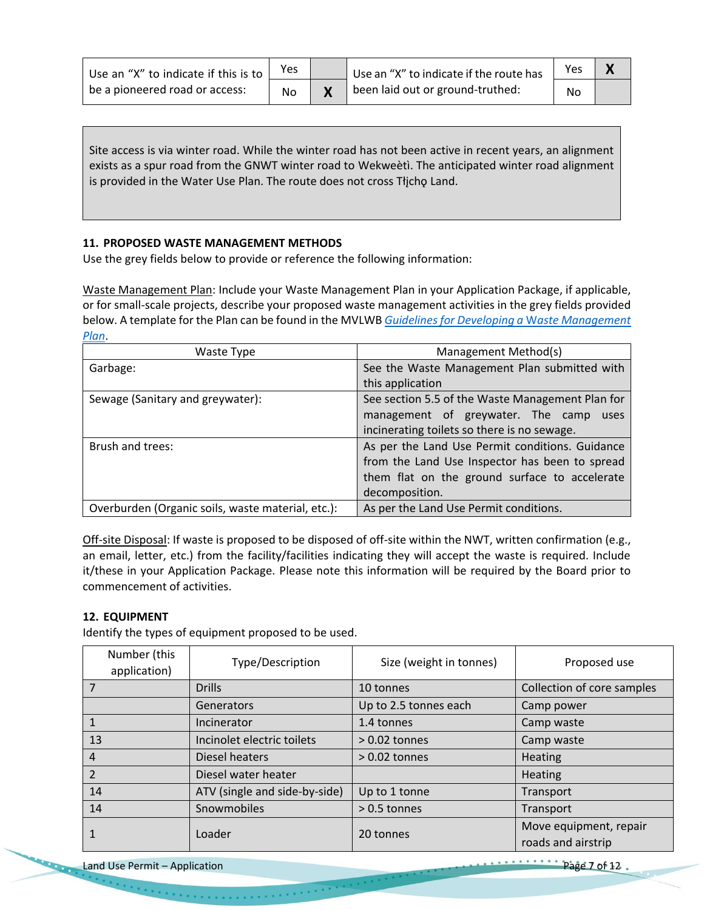| Use an "X" to indicate if this is to | Yes | Use an "X" to indicate if the route has | Yes |  |
|--------------------------------------|-----|-----------------------------------------|-----|--|
| be a pioneered road or access:       | No  | been laid out or ground-truthed:        | No  |  |

Site access is via winter road. While the winter road has not been active in recent years, an alignment exists as a spur road from the GNWT winter road to Wekweètì. The anticipated winter road alignment is provided in the Water Use Plan. The route does not cross Tłįchǫ Land.

# **11. PROPOSED WASTE MANAGEMENT METHODS**

Use the grey fields below to provide or reference the following information:

Waste Management Plan: Include your Waste Management Plan in your Application Package, if applicable, or for small-scale projects, describe your proposed waste management activities in the grey fields provided below. A template for the Plan can be found in the MVLWB *[Guidelines for Developing a](https://mvlwb.com/sites/default/files/documents/MVLWB-Guidelines-for-Developing-a-Waste-Management-Plan-Mar-31_11-JCWG.pdf)* W*aste Management [Plan](https://mvlwb.com/sites/default/files/documents/MVLWB-Guidelines-for-Developing-a-Waste-Management-Plan-Mar-31_11-JCWG.pdf)*.

| Waste Type                                        | Management Method(s)                             |  |  |
|---------------------------------------------------|--------------------------------------------------|--|--|
| Garbage:                                          | See the Waste Management Plan submitted with     |  |  |
|                                                   | this application                                 |  |  |
| Sewage (Sanitary and greywater):                  | See section 5.5 of the Waste Management Plan for |  |  |
|                                                   | management of greywater. The camp<br>uses        |  |  |
|                                                   | incinerating toilets so there is no sewage.      |  |  |
| Brush and trees:                                  | As per the Land Use Permit conditions. Guidance  |  |  |
|                                                   | from the Land Use Inspector has been to spread   |  |  |
|                                                   | them flat on the ground surface to accelerate    |  |  |
|                                                   | decomposition.                                   |  |  |
| Overburden (Organic soils, waste material, etc.): | As per the Land Use Permit conditions.           |  |  |

Off-site Disposal: If waste is proposed to be disposed of off-site within the NWT, written confirmation (e.g., an email, letter, etc.) from the facility/facilities indicating they will accept the waste is required. Include it/these in your Application Package. Please note this information will be required by the Board prior to commencement of activities.

#### **12. EQUIPMENT**

Identify the types of equipment proposed to be used.

| Number (this<br>application) | Type/Description              | Size (weight in tonnes) | Proposed use                                 |
|------------------------------|-------------------------------|-------------------------|----------------------------------------------|
|                              | <b>Drills</b>                 | 10 tonnes               | Collection of core samples                   |
|                              | Generators                    | Up to 2.5 tonnes each   | Camp power                                   |
|                              | Incinerator                   | 1.4 tonnes              | Camp waste                                   |
| 13                           | Incinolet electric toilets    | $> 0.02$ tonnes         | Camp waste                                   |
| 4                            | Diesel heaters                | $> 0.02$ tonnes         | Heating                                      |
| $\overline{2}$               | Diesel water heater           |                         | Heating                                      |
| 14                           | ATV (single and side-by-side) | Up to 1 tonne           | Transport                                    |
| 14                           | Snowmobiles                   | > 0.5 tonnes            | Transport                                    |
|                              | Loader                        | 20 tonnes               | Move equipment, repair<br>roads and airstrip |

 $\mathcal{L}_{\mathcal{F}}$  , and  $\mathcal{L}_{\mathcal{F}}$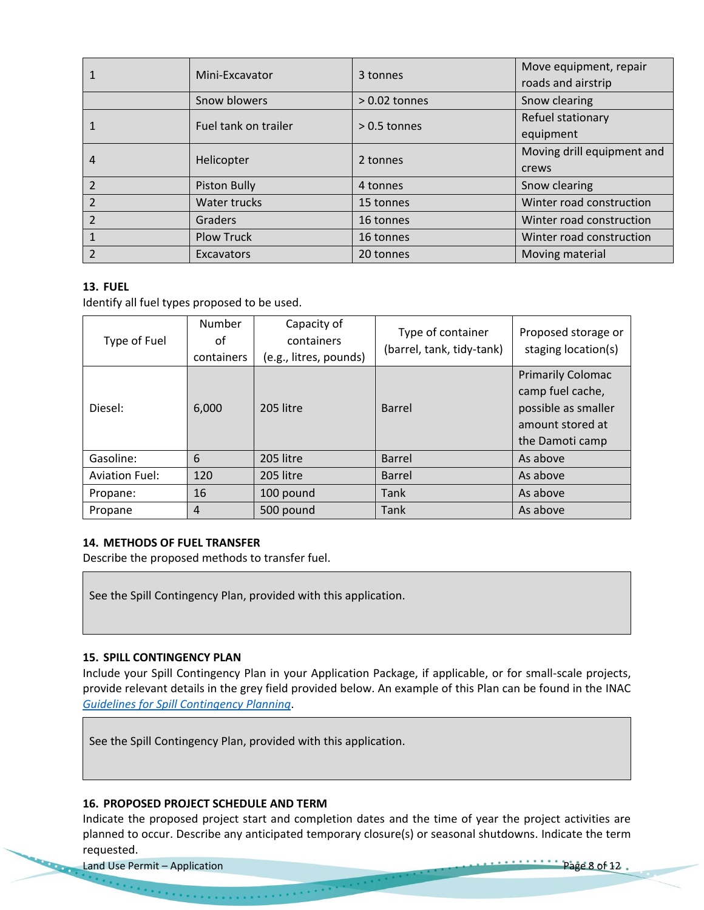|                          | Mini-Excavator       | 3 tonnes        | Move equipment, repair<br>roads and airstrip |
|--------------------------|----------------------|-----------------|----------------------------------------------|
|                          | Snow blowers         | $> 0.02$ tonnes | Snow clearing                                |
|                          | Fuel tank on trailer | $> 0.5$ tonnes  | Refuel stationary                            |
|                          |                      |                 | equipment                                    |
| 4                        | Helicopter           | 2 tonnes        | Moving drill equipment and                   |
|                          |                      |                 | crews                                        |
| $\overline{\phantom{0}}$ | Piston Bully         | 4 tonnes        | Snow clearing                                |
| $\mathfrak{D}$           | Water trucks         | 15 tonnes       | Winter road construction                     |
|                          | Graders              | 16 tonnes       | Winter road construction                     |
|                          | <b>Plow Truck</b>    | 16 tonnes       | Winter road construction                     |
| $\mathfrak{p}$           | Excavators           | 20 tonnes       | Moving material                              |

# **13. FUEL**

Identify all fuel types proposed to be used.

| Type of Fuel          | Number<br>оf<br>containers | Capacity of<br>containers<br>(e.g., litres, pounds) | Type of container<br>(barrel, tank, tidy-tank) | Proposed storage or<br>staging location(s)                                                                 |
|-----------------------|----------------------------|-----------------------------------------------------|------------------------------------------------|------------------------------------------------------------------------------------------------------------|
| Diesel:               | 6,000                      | 205 litre                                           | Barrel                                         | <b>Primarily Colomac</b><br>camp fuel cache,<br>possible as smaller<br>amount stored at<br>the Damoti camp |
| Gasoline:             | 6                          | 205 litre                                           | <b>Barrel</b>                                  | As above                                                                                                   |
| <b>Aviation Fuel:</b> | 120                        | 205 litre                                           | <b>Barrel</b>                                  | As above                                                                                                   |
| Propane:              | 16                         | 100 pound                                           | Tank                                           | As above                                                                                                   |
| Propane               | 4                          | 500 pound                                           | Tank                                           | As above                                                                                                   |

# **14. METHODS OF FUEL TRANSFER**

Describe the proposed methods to transfer fuel.

See the Spill Contingency Plan, provided with this application.

# **15. SPILL CONTINGENCY PLAN**

Include your Spill Contingency Plan in your Application Package, if applicable, or for small-scale projects, provide relevant details in the grey field provided below. An example of this Plan can be found in the INAC *[Guidelines for Spill Contingency Planning](https://mvlwb.com/sites/default/files/guidelines_for_spill_contingency_planning_2007.pdf)*.

See the Spill Contingency Plan, provided with this application.

# **16. PROPOSED PROJECT SCHEDULE AND TERM**

Indicate the proposed project start and completion dates and the time of year the project activities are planned to occur. Describe any anticipated temporary closure(s) or seasonal shutdowns. Indicate the term requested.

 $\ddotsc$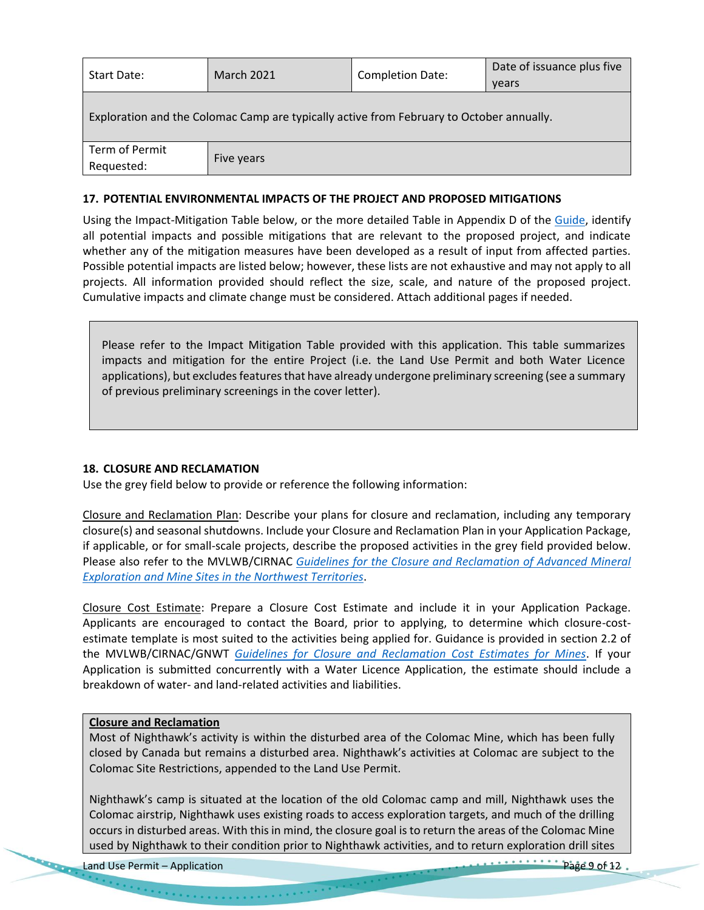| Start Date:                                                                              | <b>March 2021</b> | Completion Date: | Date of issuance plus five |  |  |
|------------------------------------------------------------------------------------------|-------------------|------------------|----------------------------|--|--|
|                                                                                          |                   |                  | years                      |  |  |
| Exploration and the Colomac Camp are typically active from February to October annually. |                   |                  |                            |  |  |
| Term of Permit                                                                           | Five years        |                  |                            |  |  |
| Requested:                                                                               |                   |                  |                            |  |  |

#### **17. POTENTIAL ENVIRONMENTAL IMPACTS OF THE PROJECT AND PROPOSED MITIGATIONS**

Using the Impact-Mitigation Table below, or the more detailed Table in Appendix D of the [Guide,](https://wlwb.ca/sites/default/files/2020-09/lwb_guide_to_the_land_use_permitting_process_-_final_-_sep_16_20.pdf) identify all potential impacts and possible mitigations that are relevant to the proposed project, and indicate whether any of the mitigation measures have been developed as a result of input from affected parties. Possible potential impacts are listed below; however, these lists are not exhaustive and may not apply to all projects. All information provided should reflect the size, scale, and nature of the proposed project. Cumulative impacts and climate change must be considered. Attach additional pages if needed.

Please refer to the Impact Mitigation Table provided with this application. This table summarizes impacts and mitigation for the entire Project (i.e. the Land Use Permit and both Water Licence applications), but excludes features that have already undergone preliminary screening (see a summary of previous preliminary screenings in the cover letter).

# **18. CLOSURE AND RECLAMATION**

Use the grey field below to provide or reference the following information:

Closure and Reclamation Plan: Describe your plans for closure and reclamation, including any temporary closure(s) and seasonal shutdowns. Include your Closure and Reclamation Plan in your Application Package, if applicable, or for small-scale projects, describe the proposed activities in the grey field provided below. Please also refer to the MVLWB/CIRNAC *[Guidelines for the Closure and Reclamation of Advanced Mineral](https://wlwb.ca/sites/default/files/wlwb_5363_guidelines_closure_reclamation_wr.pdf)  [Exploration and Mine Sites in the Northwest Territories](https://wlwb.ca/sites/default/files/wlwb_5363_guidelines_closure_reclamation_wr.pdf)*.

Closure Cost Estimate: Prepare a Closure Cost Estimate and include it in your Application Package. Applicants are encouraged to contact the Board, prior to applying, to determine which closure-costestimate template is most suited to the activities being applied for. Guidance is provided in section 2.2 of the MVLWB/CIRNAC/GNWT *[Guidelines for Closure and Reclamation Cost Estimates for Mines](https://wlwb.ca/sites/default/files/images/Closure%20Cost%20Estimating%20Guidelines_FINAL_Nov%2024%202017.pdf)*. If your Application is submitted concurrently with a Water Licence Application, the estimate should include a breakdown of water- and land-related activities and liabilities.

#### **Closure and Reclamation**

Most of Nighthawk's activity is within the disturbed area of the Colomac Mine, which has been fully closed by Canada but remains a disturbed area. Nighthawk's activities at Colomac are subject to the Colomac Site Restrictions, appended to the Land Use Permit.

Nighthawk's camp is situated at the location of the old Colomac camp and mill, Nighthawk uses the Colomac airstrip, Nighthawk uses existing roads to access exploration targets, and much of the drilling occurs in disturbed areas. With this in mind, the closure goal is to return the areas of the Colomac Mine used by Nighthawk to their condition prior to Nighthawk activities, and to return exploration drill sites

 $\label{eq:2} \begin{split} \mathcal{L}(\mathcal{L}) = \mathcal{L}(\mathcal{L}) \times \mathcal{L}(\mathcal{L}) \times \mathcal{L}(\mathcal{L}) \times \mathcal{L}(\mathcal{L}) \times \mathcal{L}(\mathcal{L}) \times \mathcal{L}(\mathcal{L}) \times \mathcal{L}(\mathcal{L}) \times \mathcal{L}(\mathcal{L}) \times \mathcal{L}(\mathcal{L}) \times \mathcal{L}(\mathcal{L}) \times \mathcal{L}(\mathcal{L}) \times \mathcal{L}(\mathcal{L}) \times \mathcal{L}(\mathcal{L}) \times \mathcal{L}(\mathcal{L}) \$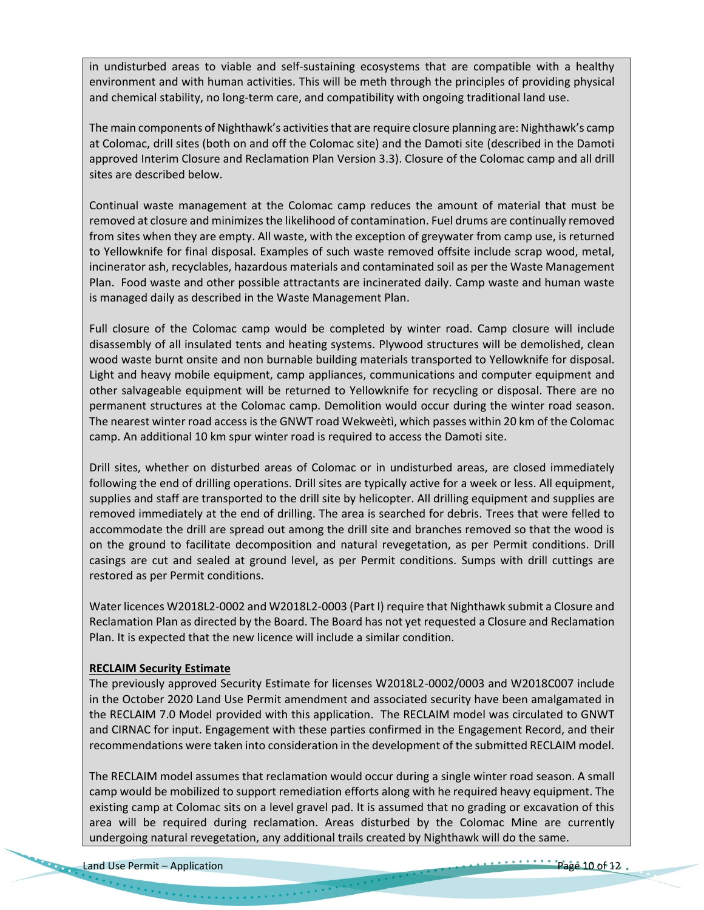in undisturbed areas to viable and self-sustaining ecosystems that are compatible with a healthy environment and with human activities. This will be meth through the principles of providing physical and chemical stability, no long-term care, and compatibility with ongoing traditional land use.

The main components of Nighthawk's activities that are require closure planning are: Nighthawk's camp at Colomac, drill sites (both on and off the Colomac site) and the Damoti site (described in the Damoti approved Interim Closure and Reclamation Plan Version 3.3). Closure of the Colomac camp and all drill sites are described below.

Continual waste management at the Colomac camp reduces the amount of material that must be removed at closure and minimizes the likelihood of contamination. Fuel drums are continually removed from sites when they are empty. All waste, with the exception of greywater from camp use, is returned to Yellowknife for final disposal. Examples of such waste removed offsite include scrap wood, metal, incinerator ash, recyclables, hazardous materials and contaminated soil as per the Waste Management Plan. Food waste and other possible attractants are incinerated daily. Camp waste and human waste is managed daily as described in the Waste Management Plan.

Full closure of the Colomac camp would be completed by winter road. Camp closure will include disassembly of all insulated tents and heating systems. Plywood structures will be demolished, clean wood waste burnt onsite and non burnable building materials transported to Yellowknife for disposal. Light and heavy mobile equipment, camp appliances, communications and computer equipment and other salvageable equipment will be returned to Yellowknife for recycling or disposal. There are no permanent structures at the Colomac camp. Demolition would occur during the winter road season. The nearest winter road access is the GNWT road Wekweètì, which passes within 20 km of the Colomac camp. An additional 10 km spur winter road is required to access the Damoti site.

Drill sites, whether on disturbed areas of Colomac or in undisturbed areas, are closed immediately following the end of drilling operations. Drill sites are typically active for a week or less. All equipment, supplies and staff are transported to the drill site by helicopter. All drilling equipment and supplies are removed immediately at the end of drilling. The area is searched for debris. Trees that were felled to accommodate the drill are spread out among the drill site and branches removed so that the wood is on the ground to facilitate decomposition and natural revegetation, as per Permit conditions. Drill casings are cut and sealed at ground level, as per Permit conditions. Sumps with drill cuttings are restored as per Permit conditions.

Water licences W2018L2-0002 and W2018L2-0003 (Part I) require that Nighthawk submit a Closure and Reclamation Plan as directed by the Board. The Board has not yet requested a Closure and Reclamation Plan. It is expected that the new licence will include a similar condition.

#### **RECLAIM Security Estimate**

The previously approved Security Estimate for licenses W2018L2-0002/0003 and W2018C007 include in the October 2020 Land Use Permit amendment and associated security have been amalgamated in the RECLAIM 7.0 Model provided with this application. The RECLAIM model was circulated to GNWT and CIRNAC for input. Engagement with these parties confirmed in the Engagement Record, and their recommendations were taken into consideration in the development of the submitted RECLAIM model.

The RECLAIM model assumes that reclamation would occur during a single winter road season. A small camp would be mobilized to support remediation efforts along with he required heavy equipment. The existing camp at Colomac sits on a level gravel pad. It is assumed that no grading or excavation of this area will be required during reclamation. Areas disturbed by the Colomac Mine are currently undergoing natural revegetation, any additional trails created by Nighthawk will do the same.

 $\label{eq:2} \mathcal{F}(\mathcal{F}) = \mathcal{F}(\mathcal{F}) = \mathcal{F}(\mathcal{F}) = \mathcal{F}(\mathcal{F}) = \mathcal{F}(\mathcal{F}) = \mathcal{F}(\mathcal{F}) = \mathcal{F}(\mathcal{F}) = \mathcal{F}(\mathcal{F}) = \mathcal{F}(\mathcal{F}) = \mathcal{F}(\mathcal{F}) = \mathcal{F}(\mathcal{F}) = \mathcal{F}(\mathcal{F}) = \mathcal{F}(\mathcal{F}) = \mathcal{F}(\mathcal{F}) = \mathcal{F}(\mathcal{F}) = \mathcal{F}(\mathcal{F}) = \mathcal{F$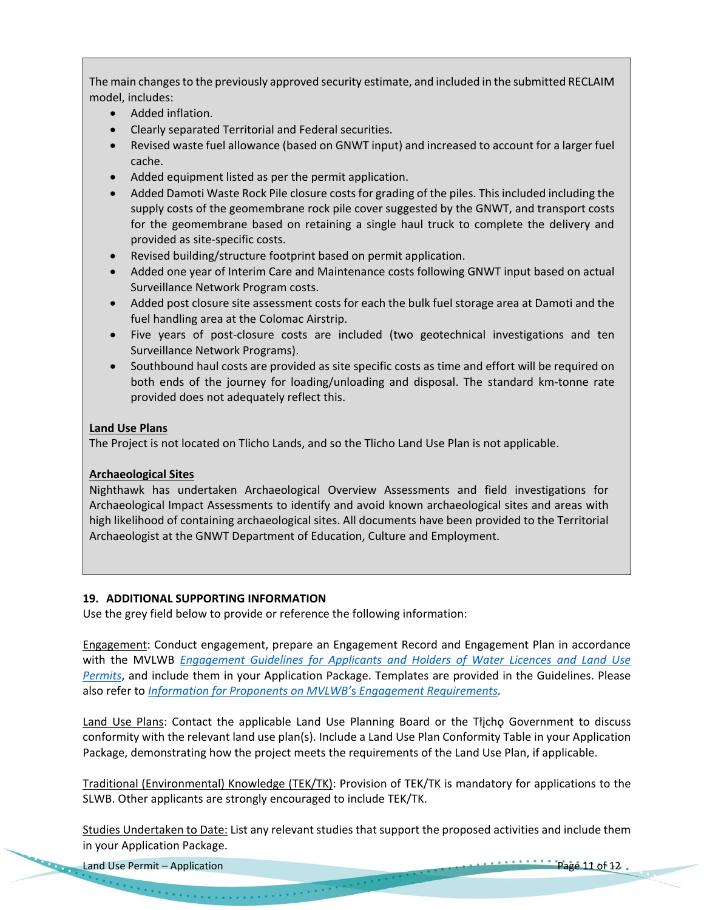The main changes to the previously approved security estimate, and included in the submitted RECLAIM model, includes:

- Added inflation.
- Clearly separated Territorial and Federal securities.
- Revised waste fuel allowance (based on GNWT input) and increased to account for a larger fuel cache.
- Added equipment listed as per the permit application.
- Added Damoti Waste Rock Pile closure costs for grading of the piles. This included including the supply costs of the geomembrane rock pile cover suggested by the GNWT, and transport costs for the geomembrane based on retaining a single haul truck to complete the delivery and provided as site-specific costs.
- Revised building/structure footprint based on permit application.
- Added one year of Interim Care and Maintenance costs following GNWT input based on actual Surveillance Network Program costs.
- Added post closure site assessment costs for each the bulk fuel storage area at Damoti and the fuel handling area at the Colomac Airstrip.
- Five years of post-closure costs are included (two geotechnical investigations and ten Surveillance Network Programs).
- Southbound haul costs are provided as site specific costs as time and effort will be required on both ends of the journey for loading/unloading and disposal. The standard km-tonne rate provided does not adequately reflect this.

# **Land Use Plans**

The Project is not located on Tlicho Lands, and so the Tlicho Land Use Plan is not applicable.

# **Archaeological Sites**

Nighthawk has undertaken Archaeological Overview Assessments and field investigations for Archaeological Impact Assessments to identify and avoid known archaeological sites and areas with high likelihood of containing archaeological sites. All documents have been provided to the Territorial Archaeologist at the GNWT Department of Education, Culture and Employment.

# **19. ADDITIONAL SUPPORTING INFORMATION**

Use the grey field below to provide or reference the following information:

 $\label{eq:2.1} \mathcal{F}(\mathcal{F}) = \mathcal{F}(\mathcal{F}) = \mathcal{F}(\mathcal{F}) = \mathcal{F}(\mathcal{F}) = \mathcal{F}(\mathcal{F}) = \mathcal{F}(\mathcal{F}) = \mathcal{F}(\mathcal{F}) = \mathcal{F}(\mathcal{F}) = \mathcal{F}(\mathcal{F}) = \mathcal{F}(\mathcal{F}) = \mathcal{F}(\mathcal{F}) = \mathcal{F}(\mathcal{F}) = \mathcal{F}(\mathcal{F}) = \mathcal{F}(\mathcal{F}) = \mathcal{F}(\mathcal{F}) = \mathcal{F}(\mathcal{F}) = \mathcal$ 

Engagement: Conduct engagement, prepare an Engagement Record and Engagement Plan in accordance with the MVLWB *[Engagement Guidelines for Applicants and Holders of Water Licences and Land Use](https://wlwb.ca/sites/default/files/mvlwb_engagement_guidelines_for_holders_of_lups_and_wls_-_october_2_19.pdf)  [Permits](https://wlwb.ca/sites/default/files/mvlwb_engagement_guidelines_for_holders_of_lups_and_wls_-_october_2_19.pdf)*, and include them in your Application Package. Templates are provided in the Guidelines. Please also refer to *[Information for Proponents on MVLWB'](https://wlwb.ca/sites/default/files/mvlwb_engagement_policy_-_information_for_proponents_-_mar_2_20.pdf)*s *Engagement Requirements.*

Land Use Plans: Contact the applicable Land Use Planning Board or the Tłicho Government to discuss conformity with the relevant land use plan(s). Include a Land Use Plan Conformity Table in your Application Package, demonstrating how the project meets the requirements of the Land Use Plan, if applicable.

Traditional (Environmental) Knowledge (TEK/TK): Provision of TEK/TK is mandatory for applications to the SLWB. Other applicants are strongly encouraged to include TEK/TK.

Studies Undertaken to Date: List any relevant studies that support the proposed activities and include them in your Application Package.